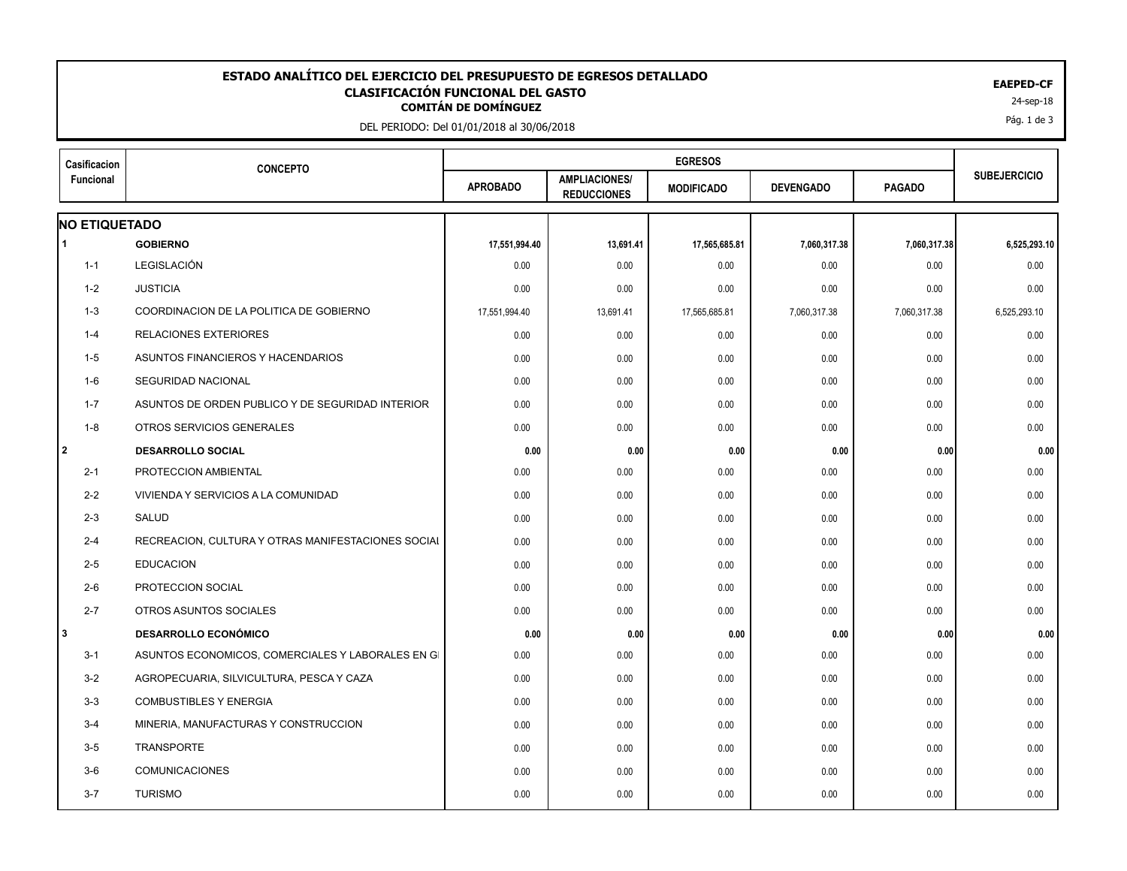## EAEPED-CF<br>CLASIFICACIÓN FUNCIONAL DEL GASTO<br><sup>24-sep-18</sup> **ESTADO ANALÍTICO DEL EJERCICIO DEL PRESUPUESTO DE EGRESOS DETALLADO EAEPED-CF CLASIFICACIÓN FUNCIONAL DEL GASTO**

DEL PERIODO: Del 01/01/2018 al 30/06/2018

| Casificacion<br>Funcional | <b>CONCEPTO</b>                                    |                 |                                            |                   |                  |               |                     |
|---------------------------|----------------------------------------------------|-----------------|--------------------------------------------|-------------------|------------------|---------------|---------------------|
|                           |                                                    | <b>APROBADO</b> | <b>AMPLIACIONES/</b><br><b>REDUCCIONES</b> | <b>MODIFICADO</b> | <b>DEVENGADO</b> | <b>PAGADO</b> | <b>SUBEJERCICIO</b> |
| <b>NO ETIQUETADO</b>      |                                                    |                 |                                            |                   |                  |               |                     |
| l 1                       | <b>GOBIERNO</b>                                    | 17,551,994.40   | 13,691.41                                  | 17,565,685.81     | 7,060,317.38     | 7,060,317.38  | 6,525,293.10        |
| $1 - 1$                   | LEGISLACIÓN                                        | 0.00            | 0.00                                       | 0.00              | 0.00             | 0.00          | 0.00                |
| $1 - 2$                   | <b>JUSTICIA</b>                                    | 0.00            | 0.00                                       | 0.00              | 0.00             | 0.00          | 0.00                |
| 1-3                       | COORDINACION DE LA POLITICA DE GOBIERNO            | 17,551,994.40   | 13,691.41                                  | 17,565,685.81     | 7,060,317.38     | 7,060,317.38  | 6,525,293.10        |
| $1 - 4$                   | <b>RELACIONES EXTERIORES</b>                       | 0.00            | 0.00                                       | 0.00              | 0.00             | 0.00          | 0.00                |
| $1-5$                     | ASUNTOS FINANCIEROS Y HACENDARIOS                  | 0.00            | 0.00                                       | 0.00              | 0.00             | 0.00          | 0.00                |
| 1-6                       | <b>SEGURIDAD NACIONAL</b>                          | 0.00            | 0.00                                       | 0.00              | 0.00             | 0.00          | 0.00                |
| $1 - 7$                   | ASUNTOS DE ORDEN PUBLICO Y DE SEGURIDAD INTERIOR   | 0.00            | 0.00                                       | 0.00              | 0.00             | 0.00          | 0.00                |
| $1 - 8$                   | OTROS SERVICIOS GENERALES                          | 0.00            | 0.00                                       | 0.00              | 0.00             | 0.00          | 0.00                |
| l 2                       | <b>DESARROLLO SOCIAL</b>                           | 0.00            | 0.00                                       | 0.00              | 0.00             | 0.00          | 0.00                |
| $2 - 1$                   | PROTECCION AMBIENTAL                               | 0.00            | 0.00                                       | 0.00              | 0.00             | 0.00          | 0.00                |
| $2 - 2$                   | VIVIENDA Y SERVICIOS A LA COMUNIDAD                | 0.00            | 0.00                                       | 0.00              | 0.00             | 0.00          | 0.00                |
| $2 - 3$                   | SALUD                                              | 0.00            | 0.00                                       | 0.00              | 0.00             | 0.00          | 0.00                |
| $2 - 4$                   | RECREACION, CULTURA Y OTRAS MANIFESTACIONES SOCIAL | 0.00            | 0.00                                       | 0.00              | 0.00             | 0.00          | 0.00                |
| $2 - 5$                   | <b>EDUCACION</b>                                   | 0.00            | 0.00                                       | 0.00              | 0.00             | 0.00          | 0.00                |
| $2 - 6$                   | PROTECCION SOCIAL                                  | 0.00            | 0.00                                       | 0.00              | 0.00             | 0.00          | 0.00                |
| $2 - 7$                   | OTROS ASUNTOS SOCIALES                             | 0.00            | 0.00                                       | 0.00              | 0.00             | 0.00          | 0.00                |
| l3                        | <b>DESARROLLO ECONÓMICO</b>                        | 0.00            | 0.00                                       | 0.00              | 0.00             | 0.00          | 0.00                |
| $3 - 1$                   | ASUNTOS ECONOMICOS, COMERCIALES Y LABORALES EN GI  | 0.00            | 0.00                                       | 0.00              | 0.00             | 0.00          | 0.00                |
| $3 - 2$                   | AGROPECUARIA, SILVICULTURA, PESCA Y CAZA           | 0.00            | 0.00                                       | 0.00              | 0.00             | 0.00          | 0.00                |
| $3 - 3$                   | <b>COMBUSTIBLES Y ENERGIA</b>                      | 0.00            | 0.00                                       | 0.00              | 0.00             | 0.00          | 0.00                |
| $3 - 4$                   | MINERIA, MANUFACTURAS Y CONSTRUCCION               | 0.00            | 0.00                                       | 0.00              | 0.00             | 0.00          | 0.00                |
| $3-5$                     | <b>TRANSPORTE</b>                                  | 0.00            | 0.00                                       | 0.00              | 0.00             | 0.00          | 0.00                |
| $3-6$                     | <b>COMUNICACIONES</b>                              | 0.00            | 0.00                                       | 0.00              | 0.00             | 0.00          | 0.00                |
| $3 - 7$                   | <b>TURISMO</b>                                     | 0.00            | 0.00                                       | 0.00              | 0.00             | 0.00          | 0.00                |
|                           |                                                    |                 |                                            |                   |                  |               |                     |

Pág. 1 de 3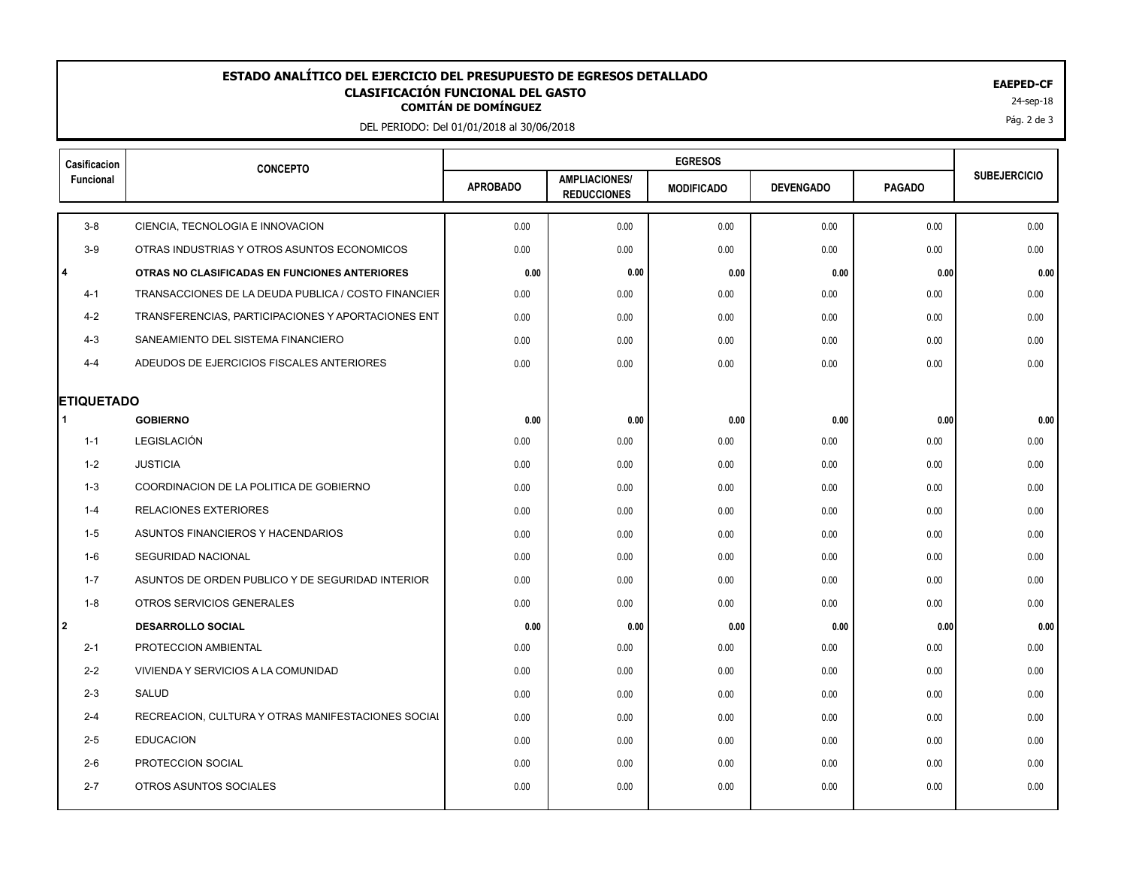## EAEPED-CF<br>CLASIFICACIÓN FUNCIONAL DEL GASTO<br><sup>24-sep-18</sup> **ESTADO ANALÍTICO DEL EJERCICIO DEL PRESUPUESTO DE EGRESOS DETALLADO EAEPED-CF CLASIFICACIÓN FUNCIONAL DEL GASTO**

DEL PERIODO: Del 01/01/2018 al 30/06/2018

| Casificacion         | <b>CONCEPTO</b>                                     |                 |                                            |                   |                  |               |                     |
|----------------------|-----------------------------------------------------|-----------------|--------------------------------------------|-------------------|------------------|---------------|---------------------|
| Funcional            |                                                     | <b>APROBADO</b> | <b>AMPLIACIONES/</b><br><b>REDUCCIONES</b> | <b>MODIFICADO</b> | <b>DEVENGADO</b> | <b>PAGADO</b> | <b>SUBEJERCICIO</b> |
| $3 - 8$              | CIENCIA, TECNOLOGIA E INNOVACION                    | 0.00            | 0.00                                       | 0.00              | 0.00             | 0.00          | 0.00                |
| $3-9$                | OTRAS INDUSTRIAS Y OTROS ASUNTOS ECONOMICOS         | 0.00            | 0.00                                       | 0.00              | 0.00             | 0.00          | 0.00                |
| l 4                  | OTRAS NO CLASIFICADAS EN FUNCIONES ANTERIORES       | 0.00            | 0.00                                       | 0.00              | 0.00             | 0.00          | 0.00                |
| $4 - 1$              | TRANSACCIONES DE LA DEUDA PUBLICA / COSTO FINANCIER | 0.00            | 0.00                                       | 0.00              | 0.00             | 0.00          | 0.00                |
| $4 - 2$              | TRANSFERENCIAS, PARTICIPACIONES Y APORTACIONES ENT  | 0.00            | 0.00                                       | 0.00              | 0.00             | 0.00          | 0.00                |
| $4 - 3$              | SANEAMIENTO DEL SISTEMA FINANCIERO                  | 0.00            | 0.00                                       | 0.00              | 0.00             | 0.00          | 0.00                |
| $4 - 4$              | ADEUDOS DE EJERCICIOS FISCALES ANTERIORES           | 0.00            | 0.00                                       | 0.00              | 0.00             | 0.00          | 0.00                |
| <b>ETIQUETADO</b>    |                                                     |                 |                                            |                   |                  |               |                     |
| $\blacktriangleleft$ | <b>GOBIERNO</b>                                     | 0.00            | 0.00                                       | 0.00              | 0.00             | 0.00          | 0.00                |
| $1 - 1$              | LEGISLACIÓN                                         | 0.00            | 0.00                                       | 0.00              | 0.00             | 0.00          | 0.00                |
| 1-2                  | <b>JUSTICIA</b>                                     | 0.00            | 0.00                                       | 0.00              | 0.00             | 0.00          | 0.00                |
| $1 - 3$              | COORDINACION DE LA POLITICA DE GOBIERNO             | 0.00            | 0.00                                       | 0.00              | 0.00             | 0.00          | 0.00                |
| $1 - 4$              | <b>RELACIONES EXTERIORES</b>                        | 0.00            | 0.00                                       | 0.00              | 0.00             | 0.00          | 0.00                |
| 1-5                  | ASUNTOS FINANCIEROS Y HACENDARIOS                   | 0.00            | 0.00                                       | 0.00              | 0.00             | 0.00          | 0.00                |
| 1-6                  | SEGURIDAD NACIONAL                                  | 0.00            | 0.00                                       | 0.00              | 0.00             | 0.00          | 0.00                |
| $1 - 7$              | ASUNTOS DE ORDEN PUBLICO Y DE SEGURIDAD INTERIOR    | 0.00            | 0.00                                       | 0.00              | 0.00             | 0.00          | 0.00                |
| $1 - 8$              | OTROS SERVICIOS GENERALES                           | 0.00            | 0.00                                       | 0.00              | 0.00             | 0.00          | 0.00                |
| l 2                  | <b>DESARROLLO SOCIAL</b>                            | 0.00            | 0.00                                       | 0.00              | 0.00             | 0.00          | 0.00                |
| $2 - 1$              | PROTECCION AMBIENTAL                                | 0.00            | 0.00                                       | 0.00              | 0.00             | 0.00          | 0.00                |
| $2 - 2$              | VIVIENDA Y SERVICIOS A LA COMUNIDAD                 | 0.00            | 0.00                                       | 0.00              | 0.00             | 0.00          | 0.00                |
| $2 - 3$              | SALUD                                               | 0.00            | 0.00                                       | 0.00              | 0.00             | 0.00          | 0.00                |
| $2 - 4$              | RECREACION, CULTURA Y OTRAS MANIFESTACIONES SOCIAL  | 0.00            | 0.00                                       | 0.00              | 0.00             | 0.00          | 0.00                |
| $2 - 5$              | <b>EDUCACION</b>                                    | 0.00            | 0.00                                       | 0.00              | 0.00             | 0.00          | 0.00                |
| $2 - 6$              | PROTECCION SOCIAL                                   | 0.00            | 0.00                                       | 0.00              | 0.00             | 0.00          | 0.00                |
| $2 - 7$              | OTROS ASUNTOS SOCIALES                              | 0.00            | 0.00                                       | 0.00              | 0.00             | 0.00          | 0.00                |
|                      |                                                     |                 |                                            |                   |                  |               |                     |

Pág. 2 de 3